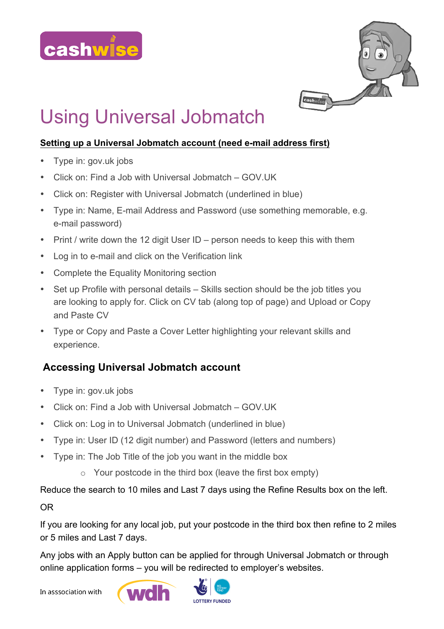



# Using Universal Jobmatch

### **Setting up a Universal Jobmatch account (need e-mail address first)**

- Type in: gov.uk jobs
- Click on: Find a Job with Universal Jobmatch GOV.UK
- Click on: Register with Universal Jobmatch (underlined in blue)
- Type in: Name, E-mail Address and Password (use something memorable, e.g. e-mail password)
- Print / write down the 12 digit User ID person needs to keep this with them
- Log in to e-mail and click on the Verification link
- Complete the Equality Monitoring section
- Set up Profile with personal details Skills section should be the job titles you are looking to apply for. Click on CV tab (along top of page) and Upload or Copy and Paste CV
- Type or Copy and Paste a Cover Letter highlighting your relevant skills and experience.

## **Accessing Universal Jobmatch account**

- Type in: gov.uk jobs
- Click on: Find a Job with Universal Jobmatch GOV.UK
- Click on: Log in to Universal Jobmatch (underlined in blue)
- Type in: User ID (12 digit number) and Password (letters and numbers)
- Type in: The Job Title of the job you want in the middle box
	- o Your postcode in the third box (leave the first box empty)

Reduce the search to 10 miles and Last 7 days using the Refine Results box on the left.

#### OR

If you are looking for any local job, put your postcode in the third box then refine to 2 miles or 5 miles and Last 7 days.

Any jobs with an Apply button can be applied for through Universal Jobmatch or through online application forms – you will be redirected to employer's websites.